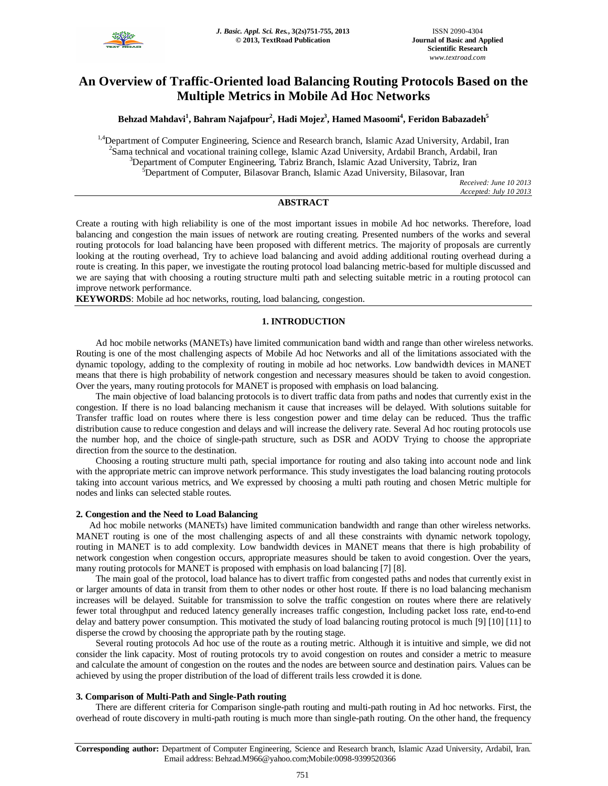

# **An Overview of Traffic-Oriented load Balancing Routing Protocols Based on the Multiple Metrics in Mobile Ad Hoc Networks**

**Behzad Mahdavi<sup>1</sup> , Bahram Najafpour<sup>2</sup> , Hadi Mojez<sup>3</sup> , Hamed Masoomi<sup>4</sup> , Feridon Babazadeh<sup>5</sup>**

<sup>1,4</sup>Department of Computer Engineering, Science and Research branch, Islamic Azad University, Ardabil, Iran <sup>2</sup>Sama technical and vocational training college, Islamic Azad University, Ardabil Branch, Ardabil, Iran <sup>3</sup>Department of Computer Engineering, Tabriz Branch, Islamic Azad University, Tabriz, Iran <sup>5</sup>Department of Computer, Bilasovar Branch, Islamic Azad University, Bilasovar, Iran

*Received: June 10 2013 Accepted: July 10 2013*

# **ABSTRACT**

Create a routing with high reliability is one of the most important issues in mobile Ad hoc networks. Therefore, load balancing and congestion the main issues of network are routing creating. Presented numbers of the works and several routing protocols for load balancing have been proposed with different metrics. The majority of proposals are currently looking at the routing overhead, Try to achieve load balancing and avoid adding additional routing overhead during a route is creating. In this paper, we investigate the routing protocol load balancing metric-based for multiple discussed and we are saying that with choosing a routing structure multi path and selecting suitable metric in a routing protocol can improve network performance.

**KEYWORDS**: Mobile ad hoc networks, routing, load balancing, congestion.

# **1. INTRODUCTION**

Ad hoc mobile networks (MANETs) have limited communication band width and range than other wireless networks. Routing is one of the most challenging aspects of Mobile Ad hoc Networks and all of the limitations associated with the dynamic topology, adding to the complexity of routing in mobile ad hoc networks. Low bandwidth devices in MANET means that there is high probability of network congestion and necessary measures should be taken to avoid congestion. Over the years, many routing protocols for MANET is proposed with emphasis on load balancing.

The main objective of load balancing protocols is to divert traffic data from paths and nodes that currently exist in the congestion. If there is no load balancing mechanism it cause that increases will be delayed. With solutions suitable for Transfer traffic load on routes where there is less congestion power and time delay can be reduced. Thus the traffic distribution cause to reduce congestion and delays and will increase the delivery rate. Several Ad hoc routing protocols use the number hop, and the choice of single-path structure, such as DSR and AODV Trying to choose the appropriate direction from the source to the destination.

Choosing a routing structure multi path, special importance for routing and also taking into account node and link with the appropriate metric can improve network performance. This study investigates the load balancing routing protocols taking into account various metrics, and We expressed by choosing a multi path routing and chosen Metric multiple for nodes and links can selected stable routes.

# **2. Congestion and the Need to Load Balancing**

Ad hoc mobile networks (MANETs) have limited communication bandwidth and range than other wireless networks. MANET routing is one of the most challenging aspects of and all these constraints with dynamic network topology, routing in MANET is to add complexity. Low bandwidth devices in MANET means that there is high probability of network congestion when congestion occurs, appropriate measures should be taken to avoid congestion. Over the years, many routing protocols for MANET is proposed with emphasis on load balancing [7] [8].

The main goal of the protocol, load balance has to divert traffic from congested paths and nodes that currently exist in or larger amounts of data in transit from them to other nodes or other host route. If there is no load balancing mechanism increases will be delayed. Suitable for transmission to solve the traffic congestion on routes where there are relatively fewer total throughput and reduced latency generally increases traffic congestion, Including packet loss rate, end-to-end delay and battery power consumption. This motivated the study of load balancing routing protocol is much [9] [10] [11] to disperse the crowd by choosing the appropriate path by the routing stage.

Several routing protocols Ad hoc use of the route as a routing metric. Although it is intuitive and simple, we did not consider the link capacity. Most of routing protocols try to avoid congestion on routes and consider a metric to measure and calculate the amount of congestion on the routes and the nodes are between source and destination pairs. Values can be achieved by using the proper distribution of the load of different trails less crowded it is done.

### **3. Comparison of Multi-Path and Single-Path routing**

There are different criteria for Comparison single-path routing and multi-path routing in Ad hoc networks. First, the overhead of route discovery in multi-path routing is much more than single-path routing. On the other hand, the frequency

**Corresponding author:** Department of Computer Engineering, Science and Research branch, Islamic Azad University, Ardabil, Iran. Email address: Behzad.M966@yahoo.com;Mobile:0098-9399520366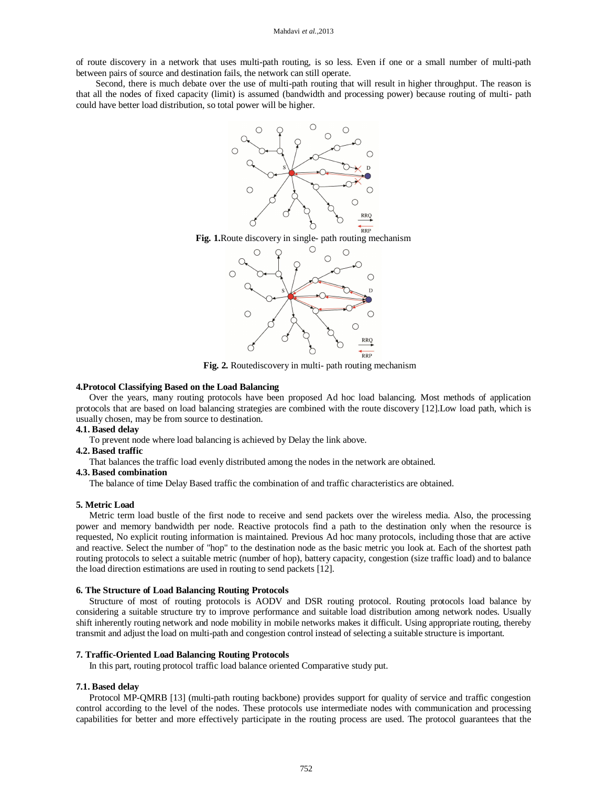of route discovery in a network that uses multi-path routing, is so less. Even if one or a small number of multi-path between pairs of source and destination fails, the network can still operate.

Second, there is much debate over the use of multi-path routing that will result in higher throughput. The reason is that all the nodes of fixed capacity (limit) is assumed (bandwidth and processing power) because routing of multi- path could have better load distribution, so total power will be higher.



**Fig. 1.**Route discovery in single- path routing mechanism



**Fig. 2.** Routediscovery in multi- path routing mechanism

#### **4.Protocol Classifying Based on the Load Balancing**

Over the years, many routing protocols have been proposed Ad hoc load balancing. Most methods of application protocols that are based on load balancing strategies are combined with the route discovery [12].Low load path, which is usually chosen, may be from source to destination.

# **4.1. Based delay**

To prevent node where load balancing is achieved by Delay the link above.

# **4.2. Based traffic**

That balances the traffic load evenly distributed among the nodes in the network are obtained.

# **4.3. Based combination**

The balance of time Delay Based traffic the combination of and traffic characteristics are obtained.

#### **5. Metric Load**

Metric term load bustle of the first node to receive and send packets over the wireless media. Also, the processing power and memory bandwidth per node. Reactive protocols find a path to the destination only when the resource is requested, No explicit routing information is maintained. Previous Ad hoc many protocols, including those that are active and reactive. Select the number of "hop" to the destination node as the basic metric you look at. Each of the shortest path routing protocols to select a suitable metric (number of hop), battery capacity, congestion (size traffic load) and to balance the load direction estimations are used in routing to send packets [12].

# **6. The Structure of Load Balancing Routing Protocols**

Structure of most of routing protocols is AODV and DSR routing protocol. Routing protocols load balance by considering a suitable structure try to improve performance and suitable load distribution among network nodes. Usually shift inherently routing network and node mobility in mobile networks makes it difficult. Using appropriate routing, thereby transmit and adjust the load on multi-path and congestion control instead of selecting a suitable structure is important.

#### **7. Traffic-Oriented Load Balancing Routing Protocols**

In this part, routing protocol traffic load balance oriented Comparative study put.

# **7.1. Based delay**

Protocol MP-QMRB [13] (multi-path routing backbone) provides support for quality of service and traffic congestion control according to the level of the nodes. These protocols use intermediate nodes with communication and processing capabilities for better and more effectively participate in the routing process are used. The protocol guarantees that the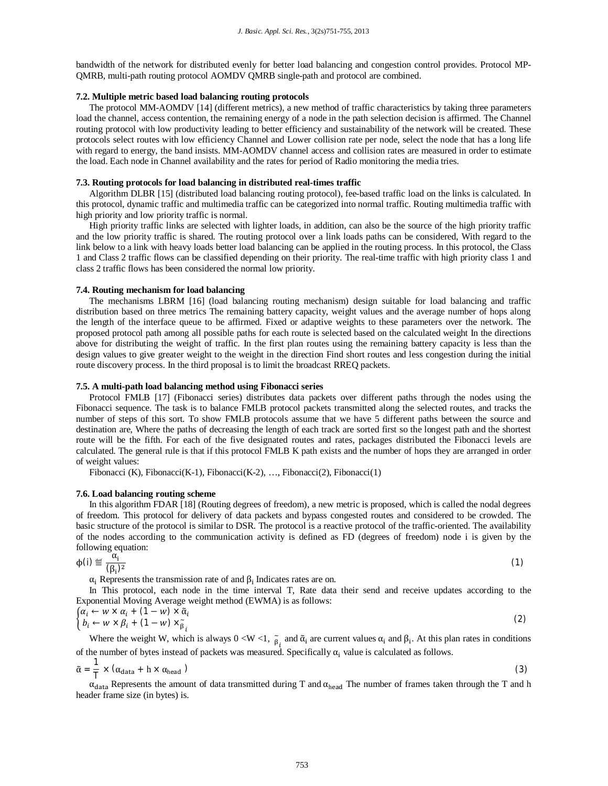bandwidth of the network for distributed evenly for better load balancing and congestion control provides. Protocol MP-QMRB, multi-path routing protocol AOMDV QMRB single-path and protocol are combined.

# **7.2. Multiple metric based load balancing routing protocols**

The protocol MM-AOMDV [14] (different metrics), a new method of traffic characteristics by taking three parameters load the channel, access contention, the remaining energy of a node in the path selection decision is affirmed. The Channel routing protocol with low productivity leading to better efficiency and sustainability of the network will be created. These protocols select routes with low efficiency Channel and Lower collision rate per node, select the node that has a long life with regard to energy, the band insists. MM-AOMDV channel access and collision rates are measured in order to estimate the load. Each node in Channel availability and the rates for period of Radio monitoring the media tries.

#### **7.3. Routing protocols for load balancing in distributed real-times traffic**

Algorithm DLBR [15] (distributed load balancing routing protocol), fee-based traffic load on the links is calculated. In this protocol, dynamic traffic and multimedia traffic can be categorized into normal traffic. Routing multimedia traffic with high priority and low priority traffic is normal.

High priority traffic links are selected with lighter loads, in addition, can also be the source of the high priority traffic and the low priority traffic is shared. The routing protocol over a link loads paths can be considered, With regard to the link below to a link with heavy loads better load balancing can be applied in the routing process. In this protocol, the Class 1 and Class 2 traffic flows can be classified depending on their priority. The real-time traffic with high priority class 1 and class 2 traffic flows has been considered the normal low priority.

#### **7.4. Routing mechanism for load balancing**

The mechanisms LBRM [16] (load balancing routing mechanism) design suitable for load balancing and traffic distribution based on three metrics The remaining battery capacity, weight values and the average number of hops along the length of the interface queue to be affirmed. Fixed or adaptive weights to these parameters over the network. The proposed protocol path among all possible paths for each route is selected based on the calculated weight In the directions above for distributing the weight of traffic. In the first plan routes using the remaining battery capacity is less than the design values to give greater weight to the weight in the direction Find short routes and less congestion during the initial route discovery process. In the third proposal is to limit the broadcast RREQ packets.

#### **7.5. A multi-path load balancing method using Fibonacci series**

Protocol FMLB [17] (Fibonacci series) distributes data packets over different paths through the nodes using the Fibonacci sequence. The task is to balance FMLB protocol packets transmitted along the selected routes, and tracks the number of steps of this sort. To show FMLB protocols assume that we have 5 different paths between the source and destination are, Where the paths of decreasing the length of each track are sorted first so the longest path and the shortest route will be the fifth. For each of the five designated routes and rates, packages distributed the Fibonacci levels are calculated. The general rule is that if this protocol FMLB K path exists and the number of hops they are arranged in order of weight values:

Fibonacci (K), Fibonacci(K-1), Fibonacci(K-2), …, Fibonacci(2), Fibonacci(1)

#### **7.6. Load balancing routing scheme**

In this algorithm FDAR [18] (Routing degrees of freedom), a new metric is proposed, which is called the nodal degrees of freedom. This protocol for delivery of data packets and bypass congested routes and considered to be crowded. The basic structure of the protocol is similar to DSR. The protocol is a reactive protocol of the traffic-oriented. The availability of the nodes according to the communication activity is defined as FD (degrees of freedom) node i is given by the following equation:

$$
\phi(i) \stackrel{\text{def}}{=} \frac{\alpha_i}{(\beta_i)^2} \tag{1}
$$

 $\alpha_i$  Represents the transmission rate of and  $\beta_i$  Indicates rates are on.

In This protocol, each node in the time interval T, Rate data their send and receive updates according to the Exponential Moving Average weight method (EWMA) is as follows:

$$
\begin{cases} \alpha_i \leftarrow w \times \alpha_i + (1 - w) \times \tilde{\alpha}_i \\ b_i \leftarrow w \times \beta_i + (1 - w) \times \tilde{\beta}_i \end{cases}
$$
 (2)

Where the weight W, which is always  $0 < W < 1$ ,  $\tilde{\beta}$  $\alpha_i$  and  $\tilde{\alpha}_i$  are current values  $\alpha_i$  and  $\beta_i$ . At this plan rates in conditions of the number of bytes instead of packets was measured. Specifically  $\alpha_i$  value is calculated as follows.

$$
\tilde{\alpha} = \frac{1}{T} \times (\alpha_{\text{data}} + h \times \alpha_{\text{head}})
$$
\n(3)

 $\alpha_{data}$  Represents the amount of data transmitted during T and  $\alpha_{head}$  The number of frames taken through the T and h header frame size (in bytes) is.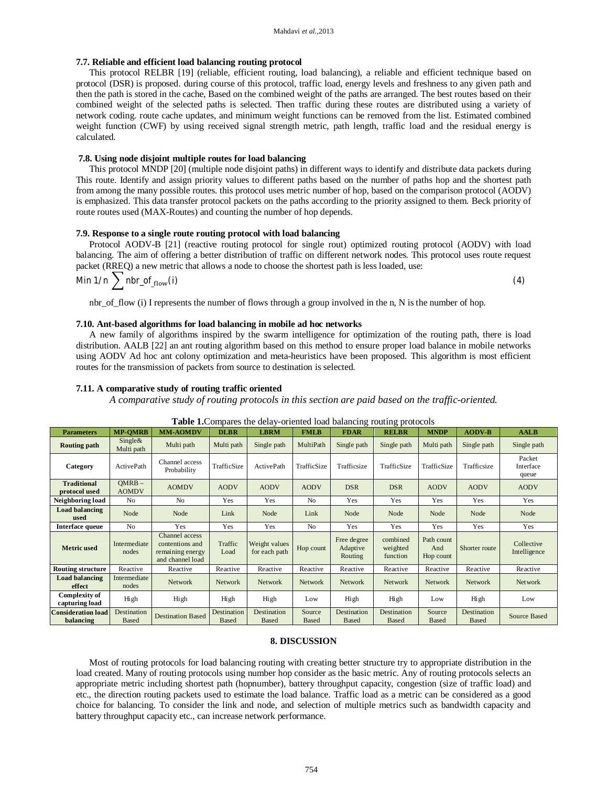#### **7.7. Reliable and efficient load balancing routing protocol**

This protocol RELBR [19] (reliable, efficient routing, load balancing), a reliable and efficient technique based on protocol (DSR) is proposed. during course of this protocol, traffic load, energy levels and freshness to any given path and then the path is stored in the cache, Based on the combined weight of the paths are arranged. The best routes based on their combined weight of the selected paths is selected. Then traffic during these routes are distributed using a variety of network coding. route cache updates, and minimum weight functions can be removed from the list. Estimated combined weight function (CWF) by using received signal strength metric, path length, traffic load and the residual energy is calculated.

# **7.8. Using node disjoint multiple routes for load balancing**

This protocol MNDP [20] (multiple node disjoint paths) in different ways to identify and distribute data packets during This route. Identify and assign priority values to different paths based on the number of paths hop and the shortest path from among the many possible routes. this protocol uses metric number of hop, based on the comparison protocol (AODV) is emphasized. This data transfer protocol packets on the paths according to the priority assigned to them. Beck priority of route routes used (MAX-Routes) and counting the number of hop depends.

# **7.9. Response to a single route routing protocol with load balancing**

Protocol AODV-B [21] (reactive routing protocol for single rout) optimized routing protocol (AODV) with load balancing. The aim of offering a better distribution of traffic on different network nodes. This protocol uses route request packet (RREQ) a new metric that allows a node to choose the shortest path is less loaded, use:

Min  $1/n \sum$  nbr\_of<sub>\_flow</sub>(i) (4)

nbr\_of\_flow (i) I represents the number of flows through a group involved in the n, N is the number of hop.

#### **7.10. Ant-based algorithms for load balancing in mobile ad hoc networks**

A new family of algorithms inspired by the swarm intelligence for optimization of the routing path, there is load distribution. AALB [22] an ant routing algorithm based on this method to ensure proper load balance in mobile networks using AODV Ad hoc ant colony optimization and meta-heuristics have been proposed. This algorithm is most efficient routes for the transmission of packets from source to destination is selected.

### **7.11. A comparative study of routing traffic oriented**

*A comparative study of routing protocols in this section are paid based on the traffic-oriented.*

**Table 1.**Compares the delay-oriented load balancing routing protocols

| <b>Parameters</b>                      | <b>MP-OMRB</b>              | <b>MM-AOMDV</b>                                                           | <b>DLBR</b>                 | <b>LBRM</b>                    | <b>FMLB</b>            | <b>FDAR</b>                        | <u>ுரு</u><br><b>RELBR</b>       | <b>MNDP</b>                    | <b>AODV-B</b>               | <b>AALB</b>                  |
|----------------------------------------|-----------------------------|---------------------------------------------------------------------------|-----------------------------|--------------------------------|------------------------|------------------------------------|----------------------------------|--------------------------------|-----------------------------|------------------------------|
| <b>Routing path</b>                    | Single&<br>Multi path       | Multi path                                                                | Multi path                  | Single path                    | MultiPath              | Single path                        | Single path                      | Multi path                     | Single path                 | Single path                  |
| Category                               | ActivePath                  | Channel access<br>Probability                                             | TrafficSize                 | ActivePath                     | TrafficSize            | Trafficsize                        | TrafficSize                      | TrafficSize                    | Trafficsize                 | Packet<br>Interface<br>queue |
| <b>Traditional</b><br>protocol used    | $OMRB -$<br><b>AOMDV</b>    | <b>AOMDV</b>                                                              | <b>AODV</b>                 | <b>AODV</b>                    | <b>AODV</b>            | <b>DSR</b>                         | <b>DSR</b>                       | <b>AODV</b>                    | <b>AODV</b>                 | <b>AODV</b>                  |
| Neighboring load                       | N <sub>0</sub>              | N <sub>o</sub>                                                            | Yes                         | Yes                            | N <sub>o</sub>         | Yes                                | Yes                              | Yes                            | Yes                         | Yes                          |
| <b>Load balancing</b><br>used          | Node                        | Node                                                                      | Link                        | Node                           | Link                   | Node                               | Node                             | Node                           | Node                        | Node                         |
| Interface queue                        | N <sub>0</sub>              | Yes                                                                       | Yes                         | Yes                            | N <sub>o</sub>         | Yes                                | Yes                              | Yes                            | Yes                         | Yes                          |
| <b>Metric</b> used                     | Intermediate<br>nodes       | Channel access<br>contentions and<br>remaining energy<br>and channel load | Traffic<br>Load             | Weight values<br>for each path | Hop count              | Free degree<br>Adaptive<br>Routing | combined<br>weighted<br>function | Path count<br>And<br>Hop count | Shorter route               | Collective<br>Intelligence   |
| <b>Routing structure</b>               | Reactive                    | Reactive                                                                  | Reactive                    | Reactive                       | Reactive               | Reactive                           | Reactive                         | Reactive                       | Reactive                    | Reactive                     |
| <b>Load balancing</b><br>effect        | Intermediate<br>nodes       | Network                                                                   | <b>Network</b>              | <b>Network</b>                 | <b>Network</b>         | <b>Network</b>                     | <b>Network</b>                   | Network                        | Network                     | <b>Network</b>               |
| <b>Complexity of</b><br>capturing load | High                        | High                                                                      | High                        | High                           | Low                    | High                               | <b>High</b>                      | Low                            | High                        | Low                          |
| <b>Consideration load</b><br>balancing | Destination<br><b>Based</b> | <b>Destination Based</b>                                                  | Destination<br><b>Based</b> | Destination<br><b>Based</b>    | Source<br><b>Based</b> | Destination<br><b>Based</b>        | Destination<br><b>Based</b>      | Source<br><b>Based</b>         | Destination<br><b>Based</b> | Source Based                 |

#### **8. DISCUSSION**

Most of routing protocols for load balancing routing with creating better structure try to appropriate distribution in the load created. Many of routing protocols using number hop consider as the basic metric. Any of routing protocols selects an appropriate metric including shortest path (hopnumber), battery throughput capacity, congestion (size of traffic load) and etc., the direction routing packets used to estimate the load balance. Traffic load as a metric can be considered as a good choice for balancing. To consider the link and node, and selection of multiple metrics such as bandwidth capacity and battery throughput capacity etc., can increase network performance.